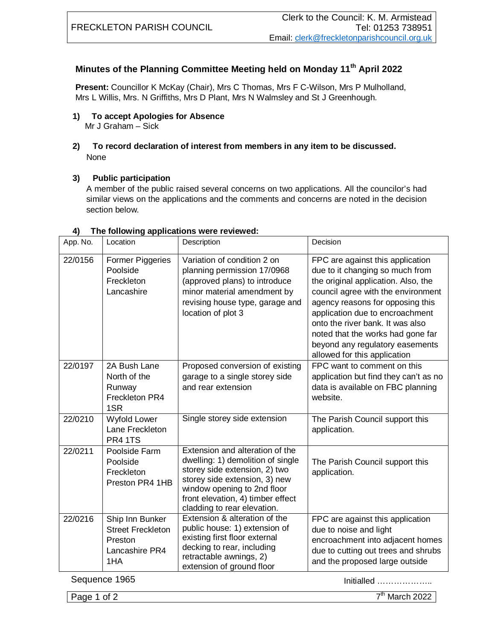## **Minutes of the Planning Committee Meeting held on Monday 11th April 2022**

**Present:** Councillor K McKay (Chair), Mrs C Thomas, Mrs F C-Wilson, Mrs P Mulholland, Mrs L Willis, Mrs. N Griffiths, Mrs D Plant, Mrs N Walmsley and St J Greenhough.

## **1) To accept Apologies for Absence** Mr J Graham – Sick

**2) To record declaration of interest from members in any item to be discussed.** None

## **3) Public participation**

A member of the public raised several concerns on two applications. All the councilor's had similar views on the applications and the comments and concerns are noted in the decision section below.

| App. No. | Location                                                                        | Description                                                                                                                                                                                                                               | Decision                                                                                                                                                                                                                                                                                                                                                            |
|----------|---------------------------------------------------------------------------------|-------------------------------------------------------------------------------------------------------------------------------------------------------------------------------------------------------------------------------------------|---------------------------------------------------------------------------------------------------------------------------------------------------------------------------------------------------------------------------------------------------------------------------------------------------------------------------------------------------------------------|
| 22/0156  | <b>Former Piggeries</b><br>Poolside<br>Freckleton<br>Lancashire                 | Variation of condition 2 on<br>planning permission 17/0968<br>(approved plans) to introduce<br>minor material amendment by<br>revising house type, garage and<br>location of plot 3                                                       | FPC are against this application<br>due to it changing so much from<br>the original application. Also, the<br>council agree with the environment<br>agency reasons for opposing this<br>application due to encroachment<br>onto the river bank. It was also<br>noted that the works had gone far<br>beyond any regulatory easements<br>allowed for this application |
| 22/0197  | 2A Bush Lane<br>North of the<br>Runway<br>Freckleton PR4<br>1SR                 | Proposed conversion of existing<br>garage to a single storey side<br>and rear extension                                                                                                                                                   | FPC want to comment on this<br>application but find they can't as no<br>data is available on FBC planning<br>website.                                                                                                                                                                                                                                               |
| 22/0210  | Wyfold Lower<br>Lane Freckleton<br><b>PR4 1TS</b>                               | Single storey side extension                                                                                                                                                                                                              | The Parish Council support this<br>application.                                                                                                                                                                                                                                                                                                                     |
| 22/0211  | Poolside Farm<br>Poolside<br>Freckleton<br>Preston PR4 1HB                      | Extension and alteration of the<br>dwelling: 1) demolition of single<br>storey side extension, 2) two<br>storey side extension, 3) new<br>window opening to 2nd floor<br>front elevation, 4) timber effect<br>cladding to rear elevation. | The Parish Council support this<br>application.                                                                                                                                                                                                                                                                                                                     |
| 22/0216  | Ship Inn Bunker<br><b>Street Freckleton</b><br>Preston<br>Lancashire PR4<br>1HA | Extension & alteration of the<br>public house: 1) extension of<br>existing first floor external<br>decking to rear, including<br>retractable awnings, 2)<br>extension of ground floor                                                     | FPC are against this application<br>due to noise and light<br>encroachment into adjacent homes<br>due to cutting out trees and shrubs<br>and the proposed large outside                                                                                                                                                                                             |

## **4) The following applications were reviewed:**

Sequence 1965 Initialled ………………..

Page 1 of 2

 $7<sup>th</sup>$  March 2022